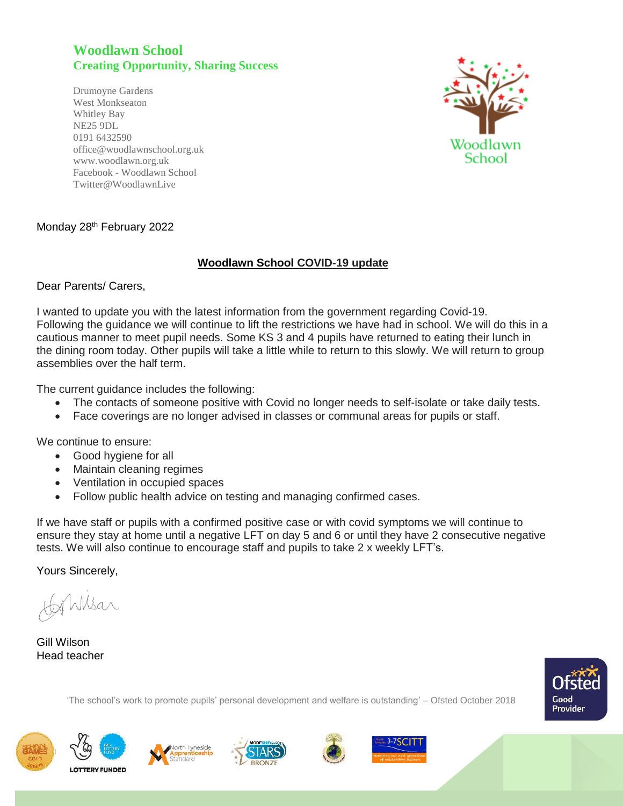## **Woodlawn School Creating Opportunity, Sharing Success**

Drumoyne Gardens West Monkseaton Whitley Bay NE25 9DL 0191 6432590 office@woodlawnschool.org.uk [www.woodlawn.](http://www.woodlawn/)org.uk Facebook - Woodlawn School Twitter@WoodlawnLive



## Monday 28<sup>th</sup> February 2022

## **Woodlawn School COVID-19 update**

Dear Parents/ Carers,

I wanted to update you with the latest information from the government regarding Covid-19. Following the guidance we will continue to lift the restrictions we have had in school. We will do this in a cautious manner to meet pupil needs. Some KS 3 and 4 pupils have returned to eating their lunch in the dining room today. Other pupils will take a little while to return to this slowly. We will return to group assemblies over the half term.

The current guidance includes the following:

- The contacts of someone positive with Covid no longer needs to self-isolate or take daily tests.
- Face coverings are no longer advised in classes or communal areas for pupils or staff.

We continue to ensure:

- Good hygiene for all
- Maintain cleaning regimes
- Ventilation in occupied spaces
- Follow public health advice on testing and managing confirmed cases.

If we have staff or pupils with a confirmed positive case or with covid symptoms we will continue to ensure they stay at home until a negative LFT on day 5 and 6 or until they have 2 consecutive negative tests. We will also continue to encourage staff and pupils to take 2 x weekly LFT's.

Yours Sincerely,

Wilsar

Gill Wilson Head teacher



'The school's work to promote pupils' personal development and welfare is outstanding' – Ofsted October 2018